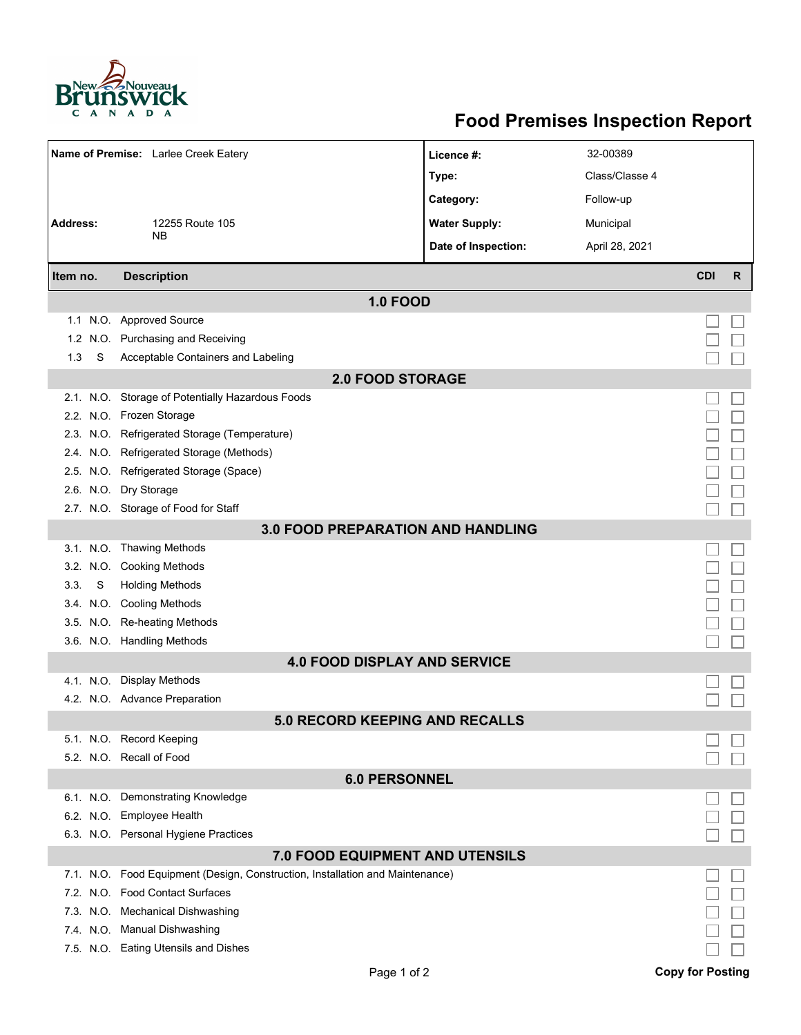

## **Food Premises Inspection Report**

| Name of Premise: Larlee Creek Eatery     |                                                                               | Licence #:           | 32-00389       |            |   |  |  |  |
|------------------------------------------|-------------------------------------------------------------------------------|----------------------|----------------|------------|---|--|--|--|
|                                          |                                                                               | Type:                | Class/Classe 4 |            |   |  |  |  |
|                                          |                                                                               | Category:            | Follow-up      |            |   |  |  |  |
| <b>Address:</b>                          | 12255 Route 105                                                               | <b>Water Supply:</b> | Municipal      |            |   |  |  |  |
|                                          | NΒ                                                                            | Date of Inspection:  | April 28, 2021 |            |   |  |  |  |
|                                          |                                                                               |                      |                |            |   |  |  |  |
| Item no.                                 | <b>Description</b>                                                            |                      |                | <b>CDI</b> | R |  |  |  |
|                                          | <b>1.0 FOOD</b>                                                               |                      |                |            |   |  |  |  |
|                                          | 1.1 N.O. Approved Source                                                      |                      |                |            |   |  |  |  |
| 1.2 <sub>1</sub>                         | N.O. Purchasing and Receiving                                                 |                      |                |            |   |  |  |  |
| S<br>1.3                                 | Acceptable Containers and Labeling                                            |                      |                |            |   |  |  |  |
| <b>2.0 FOOD STORAGE</b>                  |                                                                               |                      |                |            |   |  |  |  |
|                                          | 2.1. N.O. Storage of Potentially Hazardous Foods                              |                      |                |            |   |  |  |  |
|                                          | 2.2. N.O. Frozen Storage                                                      |                      |                |            |   |  |  |  |
|                                          | 2.3. N.O. Refrigerated Storage (Temperature)                                  |                      |                |            |   |  |  |  |
|                                          | 2.4. N.O. Refrigerated Storage (Methods)                                      |                      |                |            |   |  |  |  |
|                                          | 2.5. N.O. Refrigerated Storage (Space)                                        |                      |                |            |   |  |  |  |
|                                          | 2.6. N.O. Dry Storage                                                         |                      |                |            |   |  |  |  |
|                                          | 2.7. N.O. Storage of Food for Staff                                           |                      |                |            |   |  |  |  |
| <b>3.0 FOOD PREPARATION AND HANDLING</b> |                                                                               |                      |                |            |   |  |  |  |
|                                          | 3.1. N.O. Thawing Methods                                                     |                      |                |            |   |  |  |  |
|                                          | 3.2. N.O. Cooking Methods                                                     |                      |                |            |   |  |  |  |
| S<br>3.3.                                | <b>Holding Methods</b>                                                        |                      |                |            |   |  |  |  |
|                                          | 3.4. N.O. Cooling Methods                                                     |                      |                |            |   |  |  |  |
|                                          | 3.5. N.O. Re-heating Methods                                                  |                      |                |            |   |  |  |  |
|                                          | 3.6. N.O. Handling Methods                                                    |                      |                |            |   |  |  |  |
| <b>4.0 FOOD DISPLAY AND SERVICE</b>      |                                                                               |                      |                |            |   |  |  |  |
|                                          | 4.1. N.O. Display Methods                                                     |                      |                |            |   |  |  |  |
|                                          | 4.2. N.O. Advance Preparation                                                 |                      |                |            |   |  |  |  |
| <b>5.0 RECORD KEEPING AND RECALLS</b>    |                                                                               |                      |                |            |   |  |  |  |
|                                          | 5.1. N.O. Record Keeping                                                      |                      |                |            |   |  |  |  |
|                                          | 5.2. N.O. Recall of Food                                                      |                      |                |            |   |  |  |  |
| <b>6.0 PERSONNEL</b>                     |                                                                               |                      |                |            |   |  |  |  |
|                                          | 6.1. N.O. Demonstrating Knowledge                                             |                      |                |            |   |  |  |  |
|                                          | 6.2. N.O. Employee Health                                                     |                      |                |            |   |  |  |  |
|                                          | 6.3. N.O. Personal Hygiene Practices                                          |                      |                |            |   |  |  |  |
| <b>7.0 FOOD EQUIPMENT AND UTENSILS</b>   |                                                                               |                      |                |            |   |  |  |  |
|                                          | 7.1. N.O. Food Equipment (Design, Construction, Installation and Maintenance) |                      |                |            |   |  |  |  |
|                                          | 7.2. N.O. Food Contact Surfaces                                               |                      |                |            |   |  |  |  |
|                                          | 7.3. N.O. Mechanical Dishwashing                                              |                      |                |            |   |  |  |  |
|                                          | 7.4. N.O. Manual Dishwashing                                                  |                      |                |            |   |  |  |  |
|                                          | 7.5. N.O. Eating Utensils and Dishes                                          |                      |                |            |   |  |  |  |